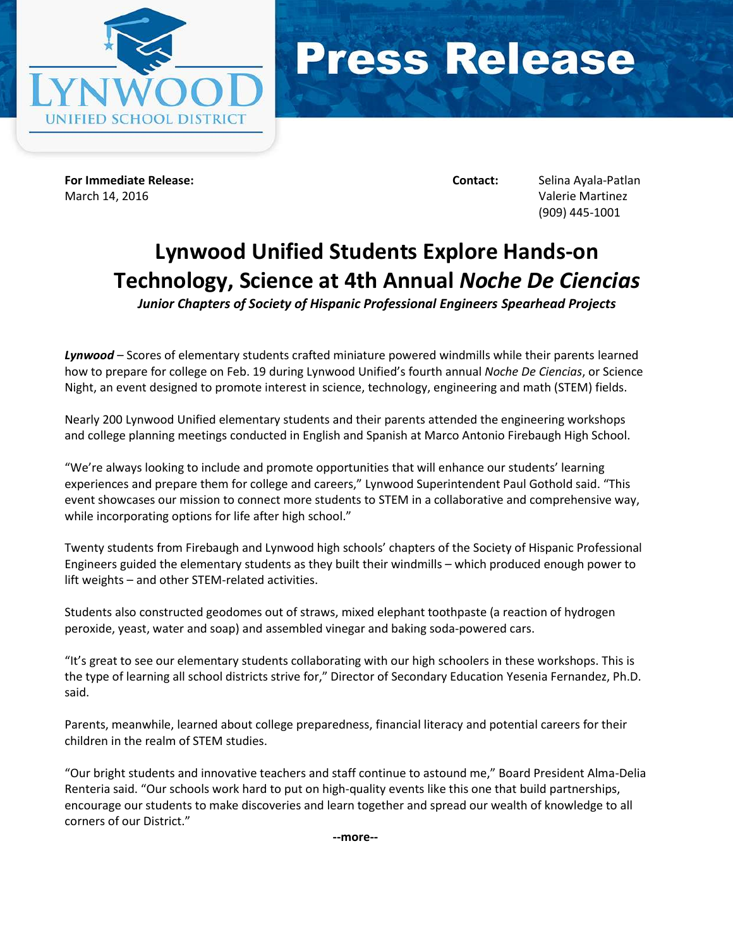



**For Immediate Release: Contact:** Selina Ayala-Patlan March 14, 2016 Valerie Martinez

(909) 445-1001

## **Lynwood Unified Students Explore Hands-on Technology, Science at 4th Annual** *Noche De Ciencias*

*Junior Chapters of Society of Hispanic Professional Engineers Spearhead Projects*

*Lynwood* – Scores of elementary students crafted miniature powered windmills while their parents learned how to prepare for college on Feb. 19 during Lynwood Unified's fourth annual *Noche De Ciencias*, or Science Night, an event designed to promote interest in science, technology, engineering and math (STEM) fields.

Nearly 200 Lynwood Unified elementary students and their parents attended the engineering workshops and college planning meetings conducted in English and Spanish at Marco Antonio Firebaugh High School.

"We're always looking to include and promote opportunities that will enhance our students' learning experiences and prepare them for college and careers," Lynwood Superintendent Paul Gothold said. "This event showcases our mission to connect more students to STEM in a collaborative and comprehensive way, while incorporating options for life after high school."

Twenty students from Firebaugh and Lynwood high schools' chapters of the Society of Hispanic Professional Engineers guided the elementary students as they built their windmills – which produced enough power to lift weights – and other STEM-related activities.

Students also constructed geodomes out of straws, mixed elephant toothpaste (a reaction of hydrogen peroxide, yeast, water and soap) and assembled vinegar and baking soda-powered cars.

"It's great to see our elementary students collaborating with our high schoolers in these workshops. This is the type of learning all school districts strive for," Director of Secondary Education Yesenia Fernandez, Ph.D. said.

Parents, meanwhile, learned about college preparedness, financial literacy and potential careers for their children in the realm of STEM studies.

"Our bright students and innovative teachers and staff continue to astound me," Board President Alma-Delia Renteria said. "Our schools work hard to put on high-quality events like this one that build partnerships, encourage our students to make discoveries and learn together and spread our wealth of knowledge to all corners of our District."

**--more--**